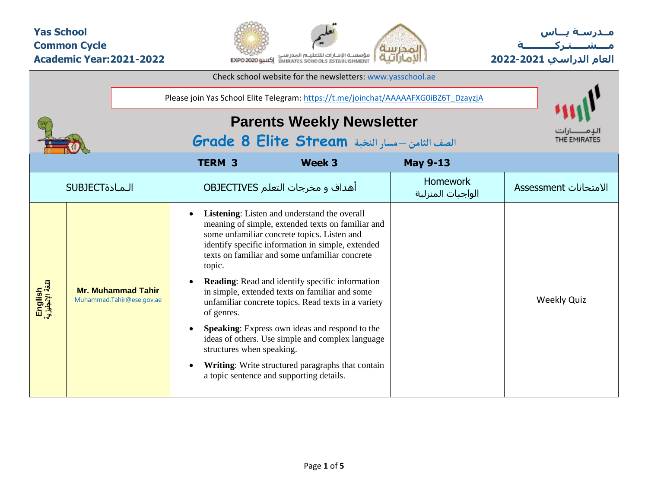## **Yas School Common Cycle Academic Year:2021-2022**



**مــدرسـة يـــاس مــــشـ ـــ ـتـ ركـ ــــــــــ ة العام الدراسي -2021 2022**

|                             |                                                        |                                                   | Check school website for the newsletters: www.yasschool.ae                                                                                                                                                                                                                                                                                                                                                                                                                                                                                                                                                                               |                                      |                       |
|-----------------------------|--------------------------------------------------------|---------------------------------------------------|------------------------------------------------------------------------------------------------------------------------------------------------------------------------------------------------------------------------------------------------------------------------------------------------------------------------------------------------------------------------------------------------------------------------------------------------------------------------------------------------------------------------------------------------------------------------------------------------------------------------------------------|--------------------------------------|-----------------------|
|                             |                                                        |                                                   | Please join Yas School Elite Telegram: https://t.me/joinchat/AAAAAFXG0iBZ6T_DzayzjA                                                                                                                                                                                                                                                                                                                                                                                                                                                                                                                                                      |                                      |                       |
|                             |                                                        |                                                   | <b>Parents Weekly Newsletter</b><br>الصف الثامن -مسار النخبة Grade 8 Elite Stream                                                                                                                                                                                                                                                                                                                                                                                                                                                                                                                                                        |                                      | THE EMIRATES          |
|                             |                                                        | <b>TERM 3</b>                                     | <b>Week 3</b>                                                                                                                                                                                                                                                                                                                                                                                                                                                                                                                                                                                                                            | <b>May 9-13</b>                      |                       |
|                             | <b>SUBJECT</b>                                         |                                                   | أهداف و مخرجات التعلم OBJECTIVES                                                                                                                                                                                                                                                                                                                                                                                                                                                                                                                                                                                                         | <b>Homework</b><br>الواجبات المنزلية | الامتحانات Assessment |
| English<br>اللغة الإنجليزية | <b>Mr. Muhammad Tahir</b><br>Muhammad.Tahir@ese.gov.ae | topic.<br>of genres.<br>structures when speaking. | Listening: Listen and understand the overall<br>meaning of simple, extended texts on familiar and<br>some unfamiliar concrete topics. Listen and<br>identify specific information in simple, extended<br>texts on familiar and some unfamiliar concrete<br><b>Reading:</b> Read and identify specific information<br>in simple, extended texts on familiar and some<br>unfamiliar concrete topics. Read texts in a variety<br><b>Speaking:</b> Express own ideas and respond to the<br>ideas of others. Use simple and complex language<br>Writing: Write structured paragraphs that contain<br>a topic sentence and supporting details. |                                      | <b>Weekly Quiz</b>    |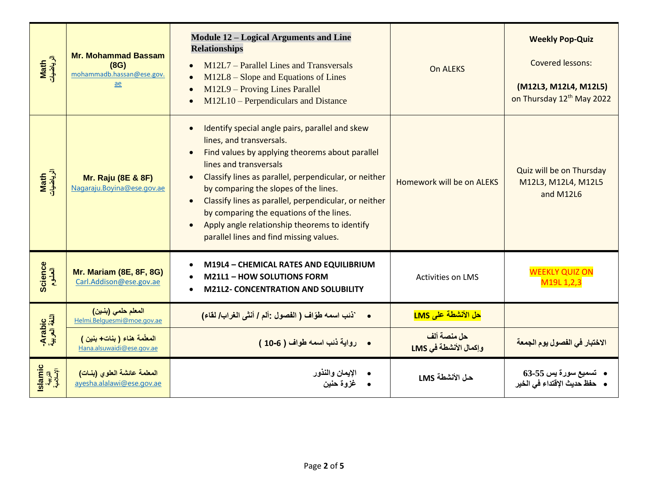| Math<br>الرياضيات               | <b>Mr. Mohammad Bassam</b><br>(8G)<br>mohammadb.hassan@ese.gov.<br>$\underline{ae}$ | <b>Module 12 - Logical Arguments and Line</b><br><b>Relationships</b><br>M12L7 – Parallel Lines and Transversals<br>$M12L8 -$ Slope and Equations of Lines<br>M12L9 - Proving Lines Parallel<br>M12L10 – Perpendiculars and Distance                                                                                                                                                                                                                                                               | <b>On ALEKS</b>                      | <b>Weekly Pop-Quiz</b><br><b>Covered lessons:</b><br>(M12L3, M12L4, M12L5)<br>on Thursday 12th May 2022 |
|---------------------------------|-------------------------------------------------------------------------------------|----------------------------------------------------------------------------------------------------------------------------------------------------------------------------------------------------------------------------------------------------------------------------------------------------------------------------------------------------------------------------------------------------------------------------------------------------------------------------------------------------|--------------------------------------|---------------------------------------------------------------------------------------------------------|
| Math<br>الرياضيات               | <b>Mr. Raju (8E &amp; 8F)</b><br>Nagaraju. Boyina@ese.gov.ae                        | Identify special angle pairs, parallel and skew<br>lines, and transversals.<br>Find values by applying theorems about parallel<br>lines and transversals<br>Classify lines as parallel, perpendicular, or neither<br>$\bullet$<br>by comparing the slopes of the lines.<br>Classify lines as parallel, perpendicular, or neither<br>$\bullet$<br>by comparing the equations of the lines.<br>Apply angle relationship theorems to identify<br>$\bullet$<br>parallel lines and find missing values. | Homework will be on ALEKS            | Quiz will be on Thursday<br>M12L3, M12L4, M12L5<br>and M12L6                                            |
| Science<br>العلوم               | <b>Mr. Mariam (8E, 8F, 8G)</b><br>Carl.Addison@ese.gov.ae                           | M19L4 - CHEMICAL RATES AND EQUILIBRIUM<br><b>M21L1 - HOW SOLUTIONS FORM</b><br><b>M21L2- CONCENTRATION AND SOLUBILITY</b>                                                                                                                                                                                                                                                                                                                                                                          | <b>Activities on LMS</b>             | <b>WEEKLY QUIZ ON</b><br>M19L 1,2,3                                                                     |
|                                 | المعلم حلمي (بنين)<br>Helmi.Belguesmi@moe.gov.ae                                    | •       `ذنب اسمه طوّاف ( الفصول :ألم / أنشى الغراب/ لقاء)                                                                                                                                                                                                                                                                                                                                                                                                                                         | <mark>حل الأنشطة على LMS</mark>      |                                                                                                         |
| Arabic<br>اللغة العربية         | المعلّمة هناء (بنات+بنين)<br>Hana.alsuwaidi@ese.gov.ae                              | • رواية ذنب اسمه طواف ( 6-10 )                                                                                                                                                                                                                                                                                                                                                                                                                                                                     | حل منصة ألف<br>وإكمال الأنشطة في LMS | الاختبار في الفصول يوم الجمعة                                                                           |
| Islamic<br>التربية<br>الإسلامية | المعلمة عائشة العلوى (بنات)<br>ayesha.alalawi@ese.gov.ae                            | الإيمان والنذور<br>غزوة حنين                                                                                                                                                                                                                                                                                                                                                                                                                                                                       | حل الأنشطة LMS                       | •    تسميع سورة يس 55-63<br>•    حفظ حديث الإقتداء في الخير                                             |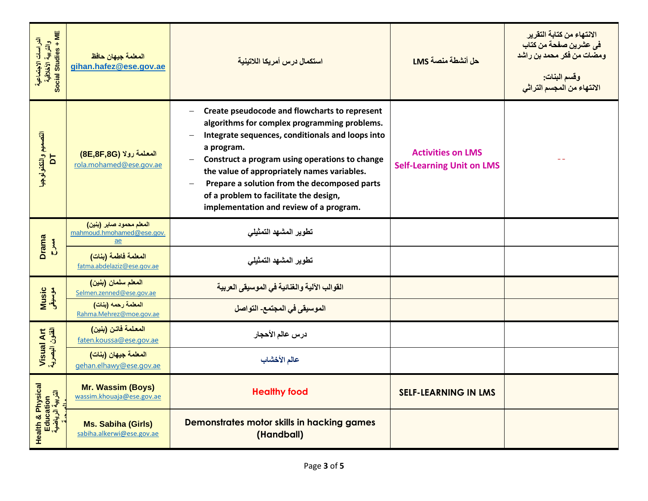| Social Studies + ME<br>والتربية الأخلاقية<br>الدراسات الاجتماعية | المعلمة جيهان حافظ<br>gihan.hafez@ese.gov.ae                              | استكمال درس أمريكا اللاتينية                                                                                                                                                                                                                                                                                                                                                                                                      | حل أنشطة منصة LMS                                            | الانتهاء من كتابة التقرير<br>في عشرين صفحة من كتاب<br>ومضات من فكر محمد بن راشد<br>وقسم البنات:<br>الانتهاء من المجسم التراثي |
|------------------------------------------------------------------|---------------------------------------------------------------------------|-----------------------------------------------------------------------------------------------------------------------------------------------------------------------------------------------------------------------------------------------------------------------------------------------------------------------------------------------------------------------------------------------------------------------------------|--------------------------------------------------------------|-------------------------------------------------------------------------------------------------------------------------------|
| التصعيم والتكنولوجية<br>$\overline{a}$                           | المعلمة رولا (8E,8F,8G)<br>rola.mohamed@ese.gov.ae                        | Create pseudocode and flowcharts to represent<br>$\overline{\phantom{0}}$<br>algorithms for complex programming problems.<br>Integrate sequences, conditionals and loops into<br>a program.<br>Construct a program using operations to change<br>the value of appropriately names variables.<br>Prepare a solution from the decomposed parts<br>of a problem to facilitate the design,<br>implementation and review of a program. | <b>Activities on LMS</b><br><b>Self-Learning Unit on LMS</b> |                                                                                                                               |
| <b>Drama</b><br><b>BAK-5</b>                                     | المعلم محمود صابر (بنين)<br>mahmoud.hmohamed@ese.gov.<br>$\underline{ae}$ | تطوير المشهد التمثيلي                                                                                                                                                                                                                                                                                                                                                                                                             |                                                              |                                                                                                                               |
|                                                                  | المعلمة فاطمة (بنات)<br>fatma.abdelaziz@ese.gov.ae                        | تطوير المشهد التمثيلي                                                                                                                                                                                                                                                                                                                                                                                                             |                                                              |                                                                                                                               |
| Music<br>موسیقی                                                  | المعلم سلمان (بنين)<br>Selmen.zenned@ese.gov.ae                           | القوالب الآلية والغنائية في الموسيقى العربية                                                                                                                                                                                                                                                                                                                                                                                      |                                                              |                                                                                                                               |
|                                                                  | المعلمة رحمه (بنات)<br>Rahma.Mehrez@moe.gov.ae                            | الموسيقى في المجتمع- التواصل                                                                                                                                                                                                                                                                                                                                                                                                      |                                                              |                                                                                                                               |
|                                                                  | المعلمة فاتن (بنين)<br>faten.koussa@ese.gov.ae                            | درس عالم الأحجار                                                                                                                                                                                                                                                                                                                                                                                                                  |                                                              |                                                                                                                               |
| Visual Art<br>الفئون البصرية                                     | المعلمة جيهان (بنات)<br>gehan.elhawy@ese.gov.ae                           | عالم الأخشاب                                                                                                                                                                                                                                                                                                                                                                                                                      |                                                              |                                                                                                                               |
|                                                                  | <b>Mr. Wassim (Boys)</b><br>wassim.khouaja@ese.gov.ae                     | <b>Healthy food</b>                                                                                                                                                                                                                                                                                                                                                                                                               | <b>SELF-LEARNING IN LMS</b>                                  |                                                                                                                               |
| Health & Physical<br>Education<br>التربية الرياضية               | <b>Ms. Sabiha (Girls)</b><br>sabiha.alkerwi@ese.gov.ae                    | Demonstrates motor skills in hacking games<br>(Handball)                                                                                                                                                                                                                                                                                                                                                                          |                                                              |                                                                                                                               |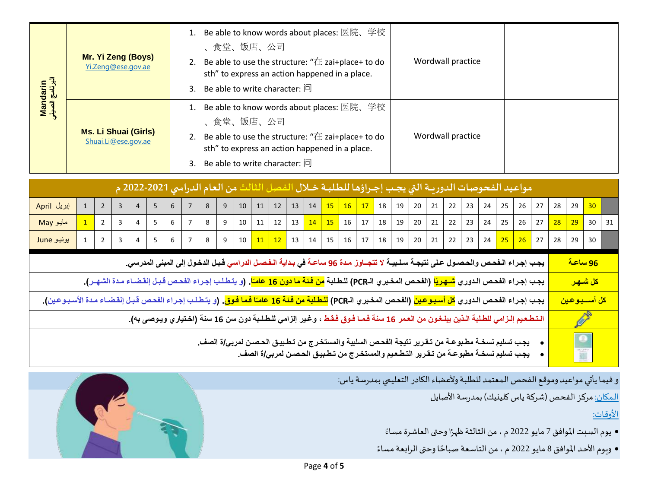| Mandarin<br>البرنامج الصيني | Mr. Yi Zeng (Boys)<br>Yi.Zeng@ese.gov.ae           | 1. Be able to know words about places: 医院、学校<br>食堂、饭店、公司<br>2. Be able to use the structure: " $\pm$ zai+place+ to do<br>sth" to express an action happened in a place.<br>3. Be able to write character: $\Box$ | Wordwall practice |  |
|-----------------------------|----------------------------------------------------|------------------------------------------------------------------------------------------------------------------------------------------------------------------------------------------------------------------|-------------------|--|
|                             | <b>Ms. Li Shuai (Girls)</b><br>Shuai.Li@ese.gov.ae | 1. Be able to know words about places: 医院、学校<br>食堂、饭店、公司<br>2. Be able to use the structure: " $\pm$ zai+place+ to do<br>sth" to express an action happened in a place.<br>3. Be able to write character: $\Box$ | Wordwall practice |  |

|                                                                                                                                                                        |              |                |                |                |                 |                 |                |                |   |        |    |  | مواعيد الفحوصات الدوريــة التي يجـب إجـراؤها للطلبــة خــلال الفصل الثالث من العام الدراسي 2021-2022 م                                                                                                      |  |  |  |  |                  |              |               |                 |                               |                        |  |
|------------------------------------------------------------------------------------------------------------------------------------------------------------------------|--------------|----------------|----------------|----------------|-----------------|-----------------|----------------|----------------|---|--------|----|--|-------------------------------------------------------------------------------------------------------------------------------------------------------------------------------------------------------------|--|--|--|--|------------------|--------------|---------------|-----------------|-------------------------------|------------------------|--|
| إبريل April                                                                                                                                                            | $\mathbf{1}$ | $2^{\circ}$    | 3              | $\overline{4}$ | 5               | 6               |                | $8\phantom{1}$ | 9 |        |    |  | $10$   11   12   13   14   15   16   17   18   19   20   21   22   23                                                                                                                                       |  |  |  |  |                  |              | $24$ 25 26 27 | 28              | 29                            | 30                     |  |
| مايو May                                                                                                                                                               |              | $\overline{2}$ | 3              |                | 5               | 6               | $\overline{7}$ | 8              | 9 | $10\,$ | 11 |  |                                                                                                                                                                                                             |  |  |  |  | $20$ 21 22 23 24 | $25 \mid 26$ | 27            | $\overline{28}$ | 29                            | $30 \mid 31$           |  |
| یونیو June                                                                                                                                                             |              | $\overline{2}$ | $\overline{3}$ |                | $4 \mid 5 \mid$ | $6\overline{6}$ |                |                |   |        |    |  | 7   8   9   10 <mark>  11   12  </mark> 13   14   15   16   17   18   19   20   21   22   23   24 <mark>  25   26  </mark> 27   28                                                                          |  |  |  |  |                  |              |               |                 | 29                            | 30                     |  |
|                                                                                                                                                                        |              |                |                |                |                 |                 |                |                |   |        |    |  | يجب إجراء الـفحص والحصـول عـلى نتيجـة سـلـبيـة لا تتجــاوز مـدة 96 ساعـة في بـدايـة الـفـصـل الدراسي قـبـل الدخـول إلى المبنى المدرسي.                                                                      |  |  |  |  |                  |              |               |                 | <u>96 ساعة</u>                |                        |  |
|                                                                                                                                                                        |              |                |                |                |                 |                 |                |                |   |        |    |  | يجب إجراء الفحص الدوري <mark>شهريًا</mark> (الفحص المخبري الـPCR) للطلبة <mark>من فئة ما دون 16 عامـًا</mark> . (و يتطلب إجراء الفحص قبل إنقضـاء مدة الشهـر).                                               |  |  |  |  |                  |              |               |                 |                               | <mark>كل شــهـر</mark> |  |
| يجب إجراء الفحص الدوري <mark>كل أسبوعين</mark> (الفحص المخبري الـPCR) <mark>للطلبة من فنة 16 عامـًا فما فوق</mark> . (و يتطلب إجراء الفحص قبل إنقضـاء مدة الأسبـوعين). |              |                |                |                |                 |                 |                |                |   |        |    |  |                                                                                                                                                                                                             |  |  |  |  |                  |              |               |                 | <mark>كل أســـبـو عـين</mark> |                        |  |
|                                                                                                                                                                        |              |                |                |                |                 |                 |                |                |   |        |    |  | الـتـطـعـيم إلـزامي للطـلبة الـذين يبلـغـون من العـمر 16 سنـة فـمـا فـوق فـقـط ، وغـير إلزامي للـطـلـبة دون سن 16 سنـة (اخـتياري ويـوصى بـه).                                                               |  |  |  |  |                  |              |               |                 |                               | <b>SEPTE</b>           |  |
|                                                                                                                                                                        |              |                |                |                |                 |                 |                |                |   |        |    |  | يجب تسليم نسخــة مطـبوعــة من تـقـرير نتيجة الفحـص السلبيـة والمستخـرج من تـطـبيـق الحـصـن لمربـي/ة الصف_<br>يجـب تسليم نسخــة مطبوعــة من تـقـرير التـطـعـيم والمستخـرج من تـطـبيـق الحـصـن لمربـي/ة الصف_ |  |  |  |  |                  |              |               |                 | $\bullet$                     |                        |  |

و فيما يأتي مواعيد وموقع الفحص المعتمد للطلبة ولأعضاء الكادر التعليمي بمدرسة ياس:

المكان: مركز الفحص (شركة ياس كلينيك) بمدرسة الأصايل

األوقات:

- .<br>● يوم السبت الموافق 7 مايو 2022 م ، من الثالثة ظهرًا وحتى العاشرة مساءً ً
- ويوم الأحد الموافق 8 مايو 2022 م ، من التاسعة صباحًا وحتى الرابعة مساءً ً ً